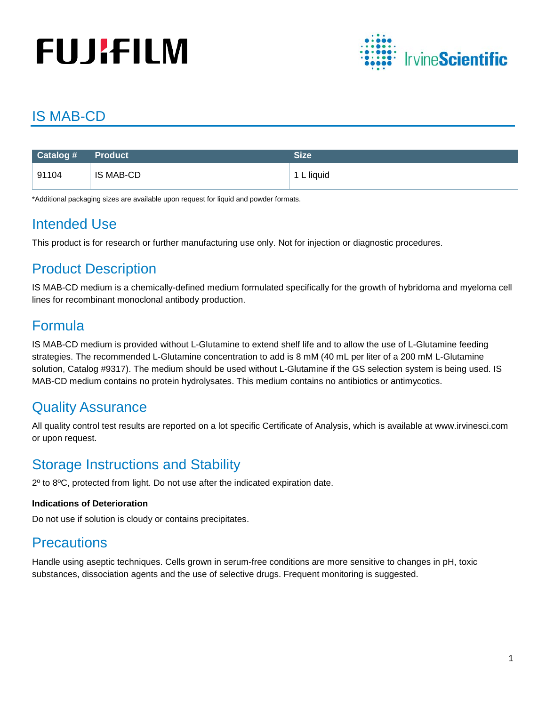# **FUJIFILM**



# IS MAB-CD

| Catalog # Product |           | Size       |
|-------------------|-----------|------------|
| 91104             | IS MAB-CD | 1 L liquid |

\*Additional packaging sizes are available upon request for liquid and powder formats.

## Intended Use

This product is for research or further manufacturing use only. Not for injection or diagnostic procedures.

# Product Description

IS MAB-CD medium is a chemically-defined medium formulated specifically for the growth of hybridoma and myeloma cell lines for recombinant monoclonal antibody production.

## Formula

IS MAB-CD medium is provided without L-Glutamine to extend shelf life and to allow the use of L-Glutamine feeding strategies. The recommended L-Glutamine concentration to add is 8 mM (40 mL per liter of a 200 mM L-Glutamine solution, Catalog #9317). The medium should be used without L-Glutamine if the GS selection system is being used. IS MAB-CD medium contains no protein hydrolysates. This medium contains no antibiotics or antimycotics.

# Quality Assurance

All quality control test results are reported on a lot specific Certificate of Analysis, which is available at www.irvinesci.com or upon request.

## Storage Instructions and Stability

2º to 8ºC, protected from light. Do not use after the indicated expiration date.

#### **Indications of Deterioration**

Do not use if solution is cloudy or contains precipitates.

### **Precautions**

Handle using aseptic techniques. Cells grown in serum-free conditions are more sensitive to changes in pH, toxic substances, dissociation agents and the use of selective drugs. Frequent monitoring is suggested.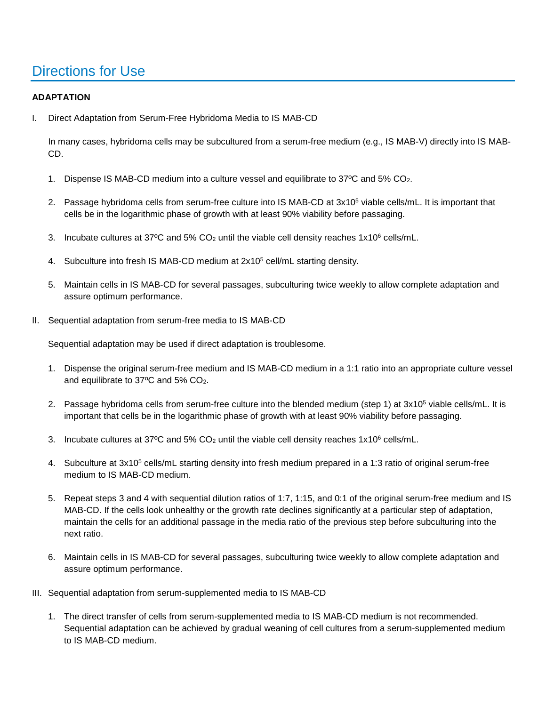### Directions for Use

#### **ADAPTATION**

I. Direct Adaptation from Serum-Free Hybridoma Media to IS MAB-CD

In many cases, hybridoma cells may be subcultured from a serum-free medium (e.g., IS MAB-V) directly into IS MAB-CD.

- 1. Dispense IS MAB-CD medium into a culture vessel and equilibrate to 37ºC and 5% CO2.
- 2. Passage hybridoma cells from serum-free culture into IS MAB-CD at 3x10<sup>5</sup> viable cells/mL. It is important that cells be in the logarithmic phase of growth with at least 90% viability before passaging.
- 3. Incubate cultures at 37°C and 5% CO<sub>2</sub> until the viable cell density reaches  $1x10^6$  cells/mL.
- 4. Subculture into fresh IS MAB-CD medium at 2x105 cell/mL starting density.
- 5. Maintain cells in IS MAB-CD for several passages, subculturing twice weekly to allow complete adaptation and assure optimum performance.
- II. Sequential adaptation from serum-free media to IS MAB-CD

Sequential adaptation may be used if direct adaptation is troublesome.

- 1. Dispense the original serum-free medium and IS MAB-CD medium in a 1:1 ratio into an appropriate culture vessel and equilibrate to 37ºC and 5% CO2.
- 2. Passage hybridoma cells from serum-free culture into the blended medium (step 1) at 3x10<sup>5</sup> viable cells/mL. It is important that cells be in the logarithmic phase of growth with at least 90% viability before passaging.
- 3. Incubate cultures at 37°C and 5%  $CO<sub>2</sub>$  until the viable cell density reaches 1x10<sup>6</sup> cells/mL.
- 4. Subculture at 3x10<sup>5</sup> cells/mL starting density into fresh medium prepared in a 1:3 ratio of original serum-free medium to IS MAB-CD medium.
- 5. Repeat steps 3 and 4 with sequential dilution ratios of 1:7, 1:15, and 0:1 of the original serum-free medium and IS MAB-CD. If the cells look unhealthy or the growth rate declines significantly at a particular step of adaptation, maintain the cells for an additional passage in the media ratio of the previous step before subculturing into the next ratio.
- 6. Maintain cells in IS MAB-CD for several passages, subculturing twice weekly to allow complete adaptation and assure optimum performance.
- III. Sequential adaptation from serum-supplemented media to IS MAB-CD
	- 1. The direct transfer of cells from serum-supplemented media to IS MAB-CD medium is not recommended. Sequential adaptation can be achieved by gradual weaning of cell cultures from a serum-supplemented medium to IS MAB-CD medium.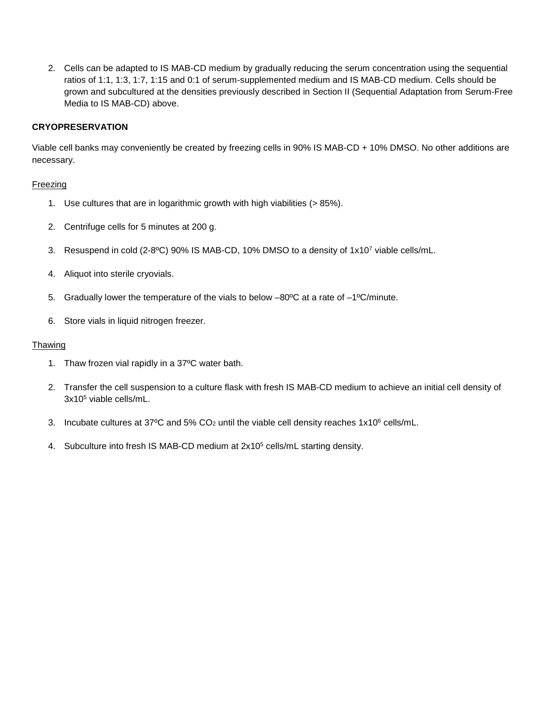2. Cells can be adapted to IS MAB-CD medium by gradually reducing the serum concentration using the sequential ratios of 1:1, 1:3, 1:7, 1:15 and 0:1 of serum-supplemented medium and IS MAB-CD medium. Cells should be grown and subcultured at the densities previously described in Section II (Sequential Adaptation from Serum-Free Media to IS MAB-CD) above.

#### **CRYOPRESERVATION**

Viable cell banks may conveniently be created by freezing cells in 90% IS MAB-CD + 10% DMSO. No other additions are necessary.

#### Freezing

- 1. Use cultures that are in logarithmic growth with high viabilities (> 85%).
- 2. Centrifuge cells for 5 minutes at 200 g.
- 3. Resuspend in cold (2-8ºC) 90% IS MAB-CD, 10% DMSO to a density of 1x107 viable cells/mL.
- 4. Aliquot into sterile cryovials.
- 5. Gradually lower the temperature of the vials to below  $-80^{\circ}$ C at a rate of  $-1^{\circ}$ C/minute.
- 6. Store vials in liquid nitrogen freezer.

#### Thawing

- 1. Thaw frozen vial rapidly in a 37ºC water bath.
- 2. Transfer the cell suspension to a culture flask with fresh IS MAB-CD medium to achieve an initial cell density of 3x105 viable cells/mL.
- 3. Incubate cultures at 37°C and 5%  $CO<sub>2</sub>$  until the viable cell density reaches 1x10° cells/mL.
- 4. Subculture into fresh IS MAB-CD medium at 2x10<sup>5</sup> cells/mL starting density.